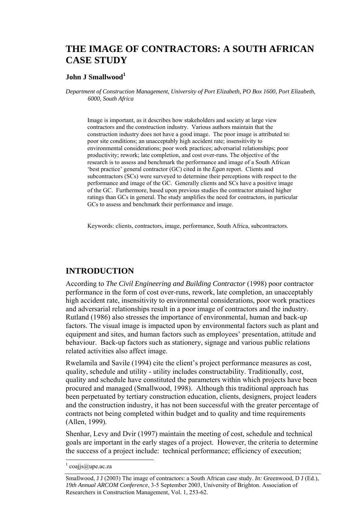# **THE IMAGE OF CONTRACTORS: A SOUTH AFRICAN CASE STUDY**

#### **John J Smallwood<sup>1</sup>**

*Department of Construction Management, University of Port Elizabeth, PO Box 1600, Port Elizabeth, 6000, South Africa* 

Image is important, as it describes how stakeholders and society at large view contractors and the construction industry. Various authors maintain that the construction industry does not have a good image. The poor image is attributed to: poor site conditions; an unacceptably high accident rate; insensitivity to environmental considerations; poor work practices; adversarial relationships; poor productivity; rework; late completion, and cost over-runs. The objective of the research is to assess and benchmark the performance and image of a South African 'best practice' general contractor (GC) cited in the *Egan* report. Clients and subcontractors (SCs) were surveyed to determine their perceptions with respect to the performance and image of the GC. Generally clients and SCs have a positive image of the GC. Furthermore, based upon previous studies the contractor attained higher ratings than GCs in general. The study amplifies the need for contractors, in particular GCs to assess and benchmark their performance and image.

Keywords: clients, contractors, image, performance, South Africa, subcontractors.

## **INTRODUCTION**

According to *The Civil Engineering and Building Contractor* (1998) poor contractor performance in the form of cost over-runs, rework, late completion, an unacceptably high accident rate, insensitivity to environmental considerations, poor work practices and adversarial relationships result in a poor image of contractors and the industry. Rutland (1986) also stresses the importance of environmental, human and back-up factors. The visual image is impacted upon by environmental factors such as plant and equipment and sites, and human factors such as employees' presentation, attitude and behaviour. Back-up factors such as stationery, signage and various public relations related activities also affect image.

Rwelamila and Savile (1994) cite the client's project performance measures as cost, quality, schedule and utility - utility includes constructability. Traditionally, cost, quality and schedule have constituted the parameters within which projects have been procured and managed (Smallwood, 1998). Although this traditional approach has been perpetuated by tertiary construction education, clients, designers, project leaders and the construction industry, it has not been successful with the greater percentage of contracts not being completed within budget and to quality and time requirements (Allen, 1999).

Shenhar, Levy and Dvir (1997) maintain the meeting of cost, schedule and technical goals are important in the early stages of a project. However, the criteria to determine the success of a project include: technical performance; efficiency of execution;

l

<sup>1</sup> coajjs@upe.ac.za

Smallwood, J J (2003) The image of contractors: a South African case study. *In:* Greenwood, D J (Ed.), *19th Annual ARCOM Conference*, 3-5 September 2003, University of Brighton. Association of Researchers in Construction Management, Vol. 1, 253-62.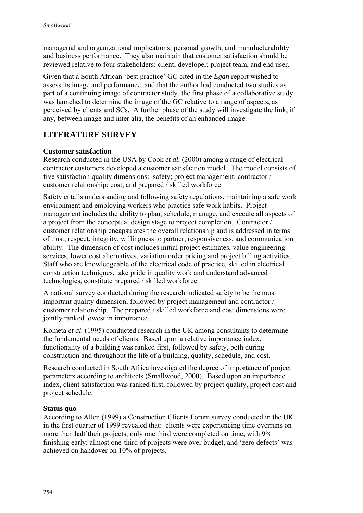managerial and organizational implications; personal growth, and manufacturability and business performance. They also maintain that customer satisfaction should be reviewed relative to four stakeholders: client; developer; project team, and end user.

Given that a South African 'best practice' GC cited in the *Egan* report wished to assess its image and performance, and that the author had conducted two studies as part of a continuing image of contractor study, the first phase of a collaborative study was launched to determine the image of the GC relative to a range of aspects, as perceived by clients and SCs. A further phase of the study will investigate the link, if any, between image and inter alia, the benefits of an enhanced image.

## **LITERATURE SURVEY**

## **Customer satisfaction**

Research conducted in the USA by Cook *et al.* (2000) among a range of electrical contractor customers developed a customer satisfaction model. The model consists of five satisfaction quality dimensions: safety; project management; contractor / customer relationship; cost, and prepared / skilled workforce.

Safety entails understanding and following safety regulations, maintaining a safe work environment and employing workers who practice safe work habits. Project management includes the ability to plan, schedule, manage, and execute all aspects of a project from the conceptual design stage to project completion. Contractor / customer relationship encapsulates the overall relationship and is addressed in terms of trust, respect, integrity, willingness to partner, responsiveness, and communication ability. The dimension of cost includes initial project estimates, value engineering services, lower cost alternatives, variation order pricing and project billing activities. Staff who are knowledgeable of the electrical code of practice, skilled in electrical construction techniques, take pride in quality work and understand advanced technologies, constitute prepared / skilled workforce.

A national survey conducted during the research indicated safety to be the most important quality dimension, followed by project management and contractor / customer relationship. The prepared / skilled workforce and cost dimensions were jointly ranked lowest in importance.

Kometa *et al.* (1995) conducted research in the UK among consultants to determine the fundamental needs of clients. Based upon a relative importance index, functionality of a building was ranked first, followed by safety, both during construction and throughout the life of a building, quality, schedule, and cost.

Research conducted in South Africa investigated the degree of importance of project parameters according to architects (Smallwood, 2000). Based upon an importance index, client satisfaction was ranked first, followed by project quality, project cost and project schedule.

## **Status quo**

According to Allen (1999) a Construction Clients Forum survey conducted in the UK in the first quarter of 1999 revealed that: clients were experiencing time overruns on more than half their projects, only one third were completed on time, with 9% finishing early; almost one-third of projects were over budget, and 'zero defects' was achieved on handover on 10% of projects.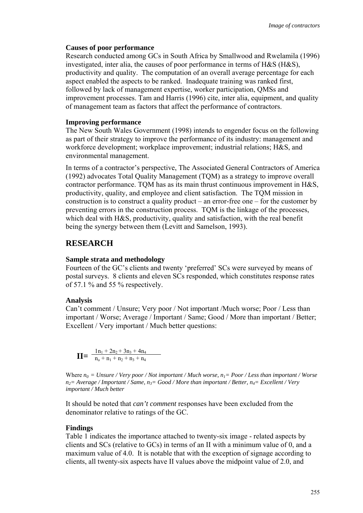#### **Causes of poor performance**

Research conducted among GCs in South Africa by Smallwood and Rwelamila (1996) investigated, inter alia, the causes of poor performance in terms of H&S (H&S), productivity and quality. The computation of an overall average percentage for each aspect enabled the aspects to be ranked. Inadequate training was ranked first, followed by lack of management expertise, worker participation, QMSs and improvement processes. Tam and Harris (1996) cite, inter alia, equipment, and quality of management team as factors that affect the performance of contractors.

#### **Improving performance**

The New South Wales Government (1998) intends to engender focus on the following as part of their strategy to improve the performance of its industry: management and workforce development; workplace improvement; industrial relations; H&S, and environmental management.

In terms of a contractor's perspective, The Associated General Contractors of America (1992) advocates Total Quality Management (TQM) as a strategy to improve overall contractor performance. TQM has as its main thrust continuous improvement in H&S, productivity, quality, and employee and client satisfaction. The TQM mission in construction is to construct a quality product – an error-free one – for the customer by preventing errors in the construction process. TQM is the linkage of the processes, which deal with H&S, productivity, quality and satisfaction, with the real benefit being the synergy between them (Levitt and Samelson, 1993).

## **RESEARCH**

#### **Sample strata and methodology**

Fourteen of the GC's clients and twenty 'preferred' SCs were surveyed by means of postal surveys. 8 clients and eleven SCs responded, which constitutes response rates of 57.1 % and 55 % respectively.

#### **Analysis**

Can't comment / Unsure; Very poor / Not important /Much worse; Poor / Less than important / Worse; Average / Important / Same; Good / More than important / Better; Excellent / Very important / Much better questions:

$$
\mathbf{II} = \frac{1n_1 + 2n_2 + 3n_3 + 4n_4}{n_0 + n_1 + n_2 + n_3 + n_4}
$$

Where  $n_0 = Unsure / Very poor / Not important / Much worse, n_1 = Poor / Less than important / Worse$  $n_2$ = Average / Important / Same,  $n_3$ = Good / More than important / Better,  $n_4$ = Excellent / Very *important / Much better* 

It should be noted that *can't comment* responses have been excluded from the denominator relative to ratings of the GC.

#### **Findings**

Table 1 indicates the importance attached to twenty-six image - related aspects by clients and SCs (relative to GCs) in terms of an II with a minimum value of 0, and a maximum value of 4.0. It is notable that with the exception of signage according to clients, all twenty-six aspects have II values above the midpoint value of 2.0, and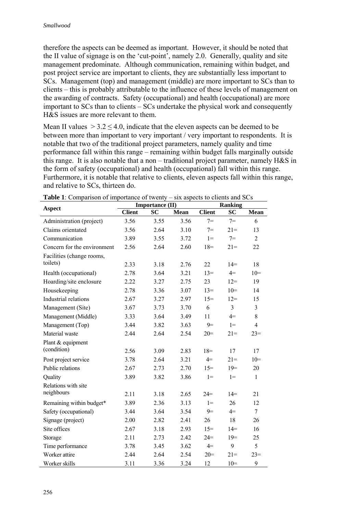therefore the aspects can be deemed as important. However, it should be noted that the II value of signage is on the 'cut-point', namely 2.0. Generally, quality and site management predominate. Although communication, remaining within budget, and post project service are important to clients, they are substantially less important to SCs. Management (top) and management (middle) are more important to SCs than to clients – this is probably attributable to the influence of these levels of management on the awarding of contracts. Safety (occupational) and health (occupational) are more important to SCs than to clients – SCs undertake the physical work and consequently H&S issues are more relevant to them.

Mean II values  $> 3.2 \le 4.0$ , indicate that the eleven aspects can be deemed to be between more than important to very important / very important to respondents. It is notable that two of the traditional project parameters, namely quality and time performance fall within this range – remaining within budget falls marginally outside this range. It is also notable that a non – traditional project parameter, namely H&S in the form of safety (occupational) and health (occupational) fall within this range. Furthermore, it is notable that relative to clients, eleven aspects fall within this range, and relative to SCs, thirteen do.

| <b>Ranking</b> |  |  |
|----------------|--|--|
| <b>Mean</b>    |  |  |
| 6              |  |  |
| 13             |  |  |
| $\overline{2}$ |  |  |
| 22             |  |  |
| 18             |  |  |
| $10=$          |  |  |
| 19             |  |  |
| 14             |  |  |
| 15             |  |  |
| $\overline{3}$ |  |  |
| 8              |  |  |
| $\overline{4}$ |  |  |
| $23=$          |  |  |
|                |  |  |
| 17             |  |  |
| $10=$          |  |  |
| 20             |  |  |
| $\mathbf{1}$   |  |  |
|                |  |  |
| 21             |  |  |
| 12             |  |  |
| 7              |  |  |
| 26             |  |  |
| 16             |  |  |
| 25             |  |  |
| 5              |  |  |
| $23=$          |  |  |
| 9              |  |  |
|                |  |  |

**Table 1**: Comparison of importance of twenty – six aspects to clients and SCs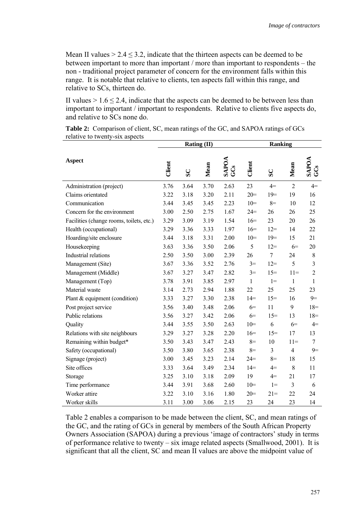Mean II values  $> 2.4 \leq 3.2$ , indicate that the thirteen aspects can be deemed to be between important to more than important / more than important to respondents – the non - traditional project parameter of concern for the environment falls within this range. It is notable that relative to clients, ten aspects fall within this range, and relative to SCs, thirteen do.

II values  $> 1.6 \le 2.4$ , indicate that the aspects can be deemed to be between less than important to important / important to respondents. Relative to clients five aspects do, and relative to SCs none do.

|                                          |        |              | Rating $(II)$ |                     | <b>Ranking</b> |                |                |                     |
|------------------------------------------|--------|--------------|---------------|---------------------|----------------|----------------|----------------|---------------------|
| <b>Aspect</b>                            | Client | $\mathbf{S}$ | Mean          | <b>SAPOA</b><br>GCS | Client         | $\mathbf{S}$   | Mean           | <b>SAPOA</b><br>GCS |
| Administration (project)                 | 3.76   | 3.64         | 3.70          | 2.63                | 23             | $4=$           | $\overline{2}$ | $4=$                |
| Claims orientated                        | 3.22   | 3.18         | 3.20          | 2.11                | $20=$          | $19=$          | 19             | 16                  |
| Communication                            | 3.44   | 3.45         | 3.45          | 2.23                | $10=$          | $8=$           | 10             | 12                  |
| Concern for the environment              | 3.00   | 2.50         | 2.75          | 1.67                | $24=$          | 26             | 26             | 25                  |
| Facilities (change rooms, toilets, etc.) | 3.29   | 3.09         | 3.19          | 1.54                | $16=$          | 23             | 20             | 26                  |
| Health (occupational)                    | 3.29   | 3.36         | 3.33          | 1.97                | $16=$          | $12 =$         | 14             | 22                  |
| Hoarding/site enclosure                  | 3.44   | 3.18         | 3.31          | 2.00                | $10=$          | $19=$          | 15             | 21                  |
| Housekeeping                             | 3.63   | 3.36         | 3.50          | 2.06                | 5              | $12 =$         | $6=$           | 20                  |
| Industrial relations                     | 2.50   | 3.50         | 3.00          | 2.39                | 26             | $\overline{7}$ | 24             | $\,$ 8 $\,$         |
| Management (Site)                        | 3.67   | 3.36         | 3.52          | 2.76                | $3=$           | $12 =$         | 5              | $\overline{3}$      |
| Management (Middle)                      | 3.67   | 3.27         | 3.47          | 2.82                | $3=$           | $15=$          | $11=$          | $\overline{2}$      |
| Management (Top)                         | 3.78   | 3.91         | 3.85          | 2.97                | 1              | $1 =$          | 1              | 1                   |
| Material waste                           | 3.14   | 2.73         | 2.94          | 1.88                | 22             | 25             | 25             | 23                  |
| Plant & equipment (condition)            | 3.33   | 3.27         | 3.30          | 2.38                | $14 =$         | $15=$          | 16             | $9=$                |
| Post project service                     | 3.56   | 3.40         | 3.48          | 2.06                | $6=$           | 11             | 9              | $18=$               |
| Public relations                         | 3.56   | 3.27         | 3.42          | 2.06                | $6=$           | $15=$          | 13             | $18=$               |
| Quality                                  | 3.44   | 3.55         | 3.50          | 2.63                | $10=$          | 6              | $6=$           | $4=$                |
| Relations with site neighbours           | 3.29   | 3.27         | 3.28          | 2.20                | $16=$          | $15=$          | 17             | 13                  |
| Remaining within budget*                 | 3.50   | 3.43         | 3.47          | 2.43                | $8=$           | 10             | $11=$          | $\overline{7}$      |
| Safety (occupational)                    | 3.50   | 3.80         | 3.65          | 2.38                | $8=$           | 3              | 4              | $9=$                |
| Signage (project)                        | 3.00   | 3.45         | 3.23          | 2.14                | $24 =$         | $8=$           | 18             | 15                  |
| Site offices                             | 3.33   | 3.64         | 3.49          | 2.34                | $14 =$         | $4=$           | 8              | 11                  |
| Storage                                  | 3.25   | 3.10         | 3.18          | 2.09                | 19             | $4=$           | 21             | 17                  |
| Time performance                         | 3.44   | 3.91         | 3.68          | 2.60                | $10=$          | $1 =$          | 3              | 6                   |
| Worker attire                            | 3.22   | 3.10         | 3.16          | 1.80                | $20=$          | $21=$          | 22             | 24                  |
| Worker skills                            | 3.11   | 3.00         | 3.06          | 2.15                | 23             | 24             | 23             | 14                  |

**Table 2:** Comparison of client, SC, mean ratings of the GC, and SAPOA ratings of GCs relative to twenty-six aspects

Table 2 enables a comparison to be made between the client, SC, and mean ratings of the GC, and the rating of GCs in general by members of the South African Property Owners Association (SAPOA) during a previous 'image of contractors' study in terms of performance relative to twenty – six image related aspects (Smallwood, 2001). It is significant that all the client, SC and mean II values are above the midpoint value of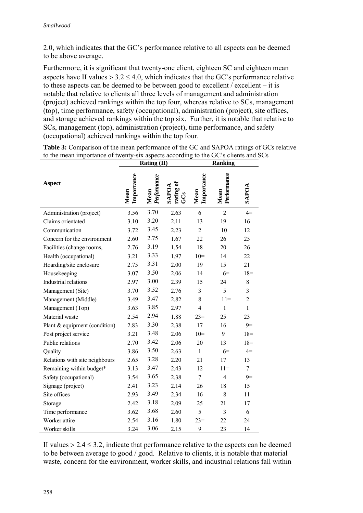2.0, which indicates that the GC's performance relative to all aspects can be deemed to be above average.

Furthermore, it is significant that twenty-one client, eighteen SC and eighteen mean aspects have II values  $> 3.2 \le 4.0$ , which indicates that the GC's performance relative to these aspects can be deemed to be between good to excellent / excellent – it is notable that relative to clients all three levels of management and administration (project) achieved rankings within the top four, whereas relative to SCs, management (top), time performance, safety (occupational), administration (project), site offices, and storage achieved rankings within the top six. Further, it is notable that relative to SCs, management (top), administration (project), time performance, and safety (occupational) achieved rankings within the top four.

|                                |                    | Rating (II)         |                           | Ranking            |                     |                |  |
|--------------------------------|--------------------|---------------------|---------------------------|--------------------|---------------------|----------------|--|
| <b>Aspect</b>                  | Importance<br>Mean | Performance<br>Mean | rating of<br><b>SAPOA</b> | Importance<br>Mean | Performance<br>Mean | <b>SAPOA</b>   |  |
| Administration (project)       | 3.56               | 3.70                | 2.63                      | 6                  | $\overline{2}$      | $4=$           |  |
| Claims orientated              | 3.10               | 3.20                | 2.11                      | 13                 | 19                  | 16             |  |
| Communication                  | 3.72               | 3.45                | 2.23                      | $\overline{2}$     | 10                  | 12             |  |
| Concern for the environment    | 2.60               | 2.75                | 1.67                      | 22                 | 26                  | 25             |  |
| Facilities (change rooms,      | 2.76               | 3.19                | 1.54                      | 18                 | 20                  | 26             |  |
| Health (occupational)          | 3.21               | 3.33                | 1.97                      | $10=$              | 14                  | 22             |  |
| Hoarding/site enclosure        | 2.75               | 3.31                | 2.00                      | 19                 | 15                  | 21             |  |
| Housekeeping                   | 3.07               | 3.50                | 2.06                      | 14                 | $6=$                | $18 =$         |  |
| Industrial relations           | 2.97               | 3.00                | 2.39                      | 15                 | 24                  | 8              |  |
| Management (Site)              | 3.70               | 3.52                | 2.76                      | 3                  | 5                   | $\overline{3}$ |  |
| Management (Middle)            | 3.49               | 3.47                | 2.82                      | 8                  | $11=$               | $\overline{2}$ |  |
| Management (Top)               | 3.63               | 3.85                | 2.97                      | $\overline{4}$     | $\mathbf{1}$        | $\mathbf{1}$   |  |
| Material waste                 | 2.54               | 2.94                | 1.88                      | $23=$              | 25                  | 23             |  |
| Plant & equipment (condition)  | 2.83               | 3.30                | 2.38                      | 17                 | 16                  | $9=$           |  |
| Post project service           | 3.21               | 3.48                | 2.06                      | $10=$              | 9                   | $18=$          |  |
| Public relations               | 2.70               | 3.42                | 2.06                      | 20                 | 13                  | $18 =$         |  |
| Quality                        | 3.86               | 3.50                | 2.63                      | $\mathbf{1}$       | $6=$                | $4=$           |  |
| Relations with site neighbours | 2.65               | 3.28                | 2.20                      | 21                 | 17                  | 13             |  |
| Remaining within budget*       | 3.13               | 3.47                | 2.43                      | 12                 | $11=$               | $\overline{7}$ |  |
| Safety (occupational)          | 3.54               | 3.65                | 2.38                      | $\overline{7}$     | $\overline{4}$      | $9=$           |  |
| Signage (project)              | 2.41               | 3.23                | 2.14                      | 26                 | 18                  | 15             |  |
| Site offices                   | 2.93               | 3.49                | 2.34                      | 16                 | 8                   | 11             |  |
| Storage                        | 2.42               | 3.18                | 2.09                      | 25                 | 21                  | 17             |  |
| Time performance               | 3.62               | 3.68                | 2.60                      | 5                  | 3                   | 6              |  |
| Worker attire                  | 2.54               | 3.16                | 1.80                      | $23=$              | 22                  | 24             |  |
| Worker skills                  | 3.24               | 3.06                | 2.15                      | 9                  | 23                  | 14             |  |

**Table 3:** Comparison of the mean performance of the GC and SAPOA ratings of GCs relative to the mean importance of twenty-six aspects according to the GC's clients and SCs

II values  $> 2.4 \leq 3.2$ , indicate that performance relative to the aspects can be deemed to be between average to good / good. Relative to clients, it is notable that material waste, concern for the environment, worker skills, and industrial relations fall within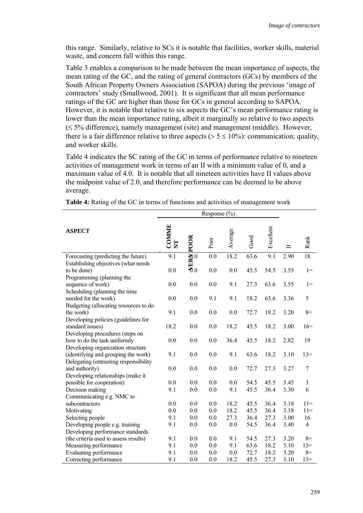this range. Similarly, relative to SCs it is notable that facilities, worker skills, material waste, and concern fall within this range.

Table 3 enables a comparison to be made between the mean importance of aspects, the mean rating of the GC, and the rating of general contractors (GCs) by members of the South African Property Owners Association (SAPOA) during the previous 'image of contractors' study (Smallwood, 2001). It is significant that all mean performance ratings of the GC are higher than those for GCs in general according to SAPOA. However, it is notable that relative to six aspects the GC's mean performance rating is lower than the mean importance rating, albeit it marginally so relative to two aspects (≤ 5% difference), namely management (site) and management (middle). However, there is a fair difference relative to three aspects ( $> 5 \le 10\%$ ): communication; quality, and worker skills.

Table 4 indicates the SC rating of the GC in terms of performance relative to nineteen activities of management work in terms of an II with a minimum value of 0, and a maximum value of 4.0. It is notable that all nineteen activities have II values above the midpoint value of 2.0, and therefore performance can be deemed to be above average.

| <b>ASPECT</b>                         | COMME<br>$\Sigma$ | <b>AERE POOR</b> | Poor | Average | Good | Excellent | ᄇ    | Rank             |
|---------------------------------------|-------------------|------------------|------|---------|------|-----------|------|------------------|
| Forecasting (predicting the future)   | 9.1               |                  | 0.0  | 18.2    | 63.6 | 9.1       | 2.90 | 18               |
| Establishing objectives (what needs   |                   |                  |      |         |      |           |      |                  |
| to be done)                           | 0.0               |                  | 0.0  | 0.0     | 45.5 | 54.5      | 3.55 | $1 =$            |
| Programming (planning the             |                   |                  |      |         |      |           |      |                  |
| sequence of work)                     | 0.0               | 0.0              | 0.0  | 9.1     | 27.3 | 63.6      | 3.55 | $1 =$            |
| Scheduling (planning the time         |                   |                  |      |         |      |           |      |                  |
| needed for the work)                  | 0.0               | 0.0              | 9.1  | 9.1     | 18.2 | 63.6      | 3.36 | 5                |
| Budgeting (allocating resources to do |                   |                  |      |         |      |           |      |                  |
| the work)                             | 9.1               | 0.0              | 0.0  | 0.0     | 72.7 | 18.2      | 3.20 | $8=$             |
| Developing policies (guidelines for   |                   |                  |      |         |      |           |      |                  |
| standard issues)                      | 18.2              | 0.0              | 0.0  | 18.2    | 45.5 | 18.2      | 3.00 | $16=$            |
| Developing procedures (steps on       |                   |                  |      |         |      |           |      |                  |
| how to do the task uniformly          | 0.0               | 0.0              | 0.0  | 36.4    | 45.5 | 18.2      | 2.82 | 19               |
| Developing organization structure     |                   |                  |      |         |      |           |      |                  |
| (identifying and grouping the work)   | 9.1               | 0.0              | 0.0  | 9.1     | 63.6 | 18.2      | 3.10 | $13=$            |
| Delegating (entrusting responsibility |                   |                  |      |         |      |           |      |                  |
| and authority)                        | 0.0               | 0.0              | 0.0  | 0.0     | 72.7 | 27.3      | 3.27 | $\boldsymbol{7}$ |
| Developing relationships (make it     |                   |                  |      |         |      |           |      |                  |
| possible for cooperation)             | 0.0               | 0.0              | 0.0  | 0.0     | 54.5 | 45.5      | 3.45 | 3                |
| Decision making                       | 9.1               | 0.0              | 0.0  | 9.1     | 45.5 | 36.4      | 3.30 | 6                |
| Communicating e.g. NMC to             |                   |                  |      |         |      |           |      |                  |
| subcontractors                        | 0.0               | 0.0              | 0.0  | 18.2    | 45.5 | 36.4      | 3.18 | $11=$            |
| Motivating                            | 0.0               | 0.0              | 0.0  | 18.2    | 45.5 | 36.4      | 3.18 | $11=$            |
| Selecting people                      | 9.1               | 0.0              | 0.0  | 27.3    | 36.4 | 27.3      | 3.00 | 16               |
| Developing people e.g. training       | 9.1               | 0.0              | 0.0  | 0.0     | 54.5 | 36.4      | 3.40 | $\overline{4}$   |
| Developing performance standards      |                   |                  |      |         |      |           |      |                  |
| (the criteria used to assess results) | 9.1               | 0.0              | 0.0  | 9.1     | 54.5 | 27.3      | 3.20 | $8=$             |
| Measuring performance                 | 9.1               | 0.0              | 0.0  | 9.1     | 63.6 | 18.2      | 3.10 | $13=$            |
| <b>Evaluating performance</b>         | 9.1               | 0.0              | 0.0  | 0.0     | 72.7 | 18.2      | 3.20 | $8=$             |
| Correcting performance                | 9.1               | 0.0              | 0.0  | 18.2    | 45.5 | 27.3      | 3.10 | $13=$            |

**Table 4:** Rating of the GC in terms of functions and activities of management work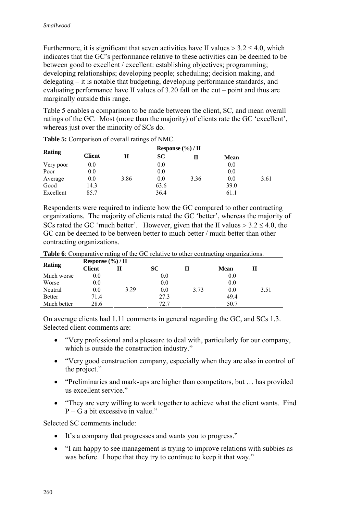Furthermore, it is significant that seven activities have II values  $> 3.2 \le 4.0$ , which indicates that the GC's performance relative to these activities can be deemed to be between good to excellent / excellent: establishing objectives; programming; developing relationships; developing people; scheduling; decision making, and delegating – it is notable that budgeting, developing performance standards, and evaluating performance have II values of 3.20 fall on the cut – point and thus are marginally outside this range.

Table 5 enables a comparison to be made between the client, SC, and mean overall ratings of the GC. Most (more than the majority) of clients rate the GC 'excellent', whereas just over the minority of SCs do.

| Rating    | Response $(\%)/\Pi$ |      |           |      |             |      |  |  |
|-----------|---------------------|------|-----------|------|-------------|------|--|--|
|           | <b>Client</b>       | Н    | <b>SC</b> |      | <b>Mean</b> |      |  |  |
| Very poor | 0.0                 |      | 0.0       |      | 0.0         |      |  |  |
| Poor      | 0.0                 |      | 0.0       |      | 0.0         |      |  |  |
| Average   | 0.0                 | 3.86 | 0.0       | 3.36 | 0.0         | 3.61 |  |  |
| Good      | 14.3                |      | 63.6      |      | 39.0        |      |  |  |
| Excellent | 85.7                |      | 36.4      |      | 61.1        |      |  |  |

**Table 5:** Comparison of overall ratings of NMC.

Respondents were required to indicate how the GC compared to other contracting organizations. The majority of clients rated the GC 'better', whereas the majority of SCs rated the GC 'much better'. However, given that the II values  $> 3.2 \le 4.0$ , the GC can be deemed to be between better to much better / much better than other contracting organizations.

| Rating        | Response $(\%)/\Pi$ |      |              |      |             |      |  |  |  |
|---------------|---------------------|------|--------------|------|-------------|------|--|--|--|
|               | Client              |      | SС           |      | <b>Mean</b> |      |  |  |  |
| Much worse    | $0.0\,$             |      | $_{\rm 0.0}$ |      | 0.0         |      |  |  |  |
| Worse         | 0.0                 |      | $0.0\,$      |      | 0.0         |      |  |  |  |
| Neutral       | 0.0                 | 3.29 | 0.0          | 3.73 | 0.0         | 3.51 |  |  |  |
| <b>Better</b> | 71.4                |      | 27.3         |      | 49.4        |      |  |  |  |

**Table 6**: Comparative rating of the GC relative to other contracting organizations.

On average clients had 1.11 comments in general regarding the GC, and SCs 1.3. Selected client comments are:

72.7

• "Very professional and a pleasure to deal with, particularly for our company, which is outside the construction industry."

50.7

- "Very good construction company, especially when they are also in control of the project."
- "Preliminaries and mark-ups are higher than competitors, but ... has provided us excellent service."
- "They are very willing to work together to achieve what the client wants. Find  $P + G$  a bit excessive in value."

Selected SC comments include:

Much better 28.6

- It's a company that progresses and wants you to progress."
- "I am happy to see management is trying to improve relations with subbies as was before. I hope that they try to continue to keep it that way."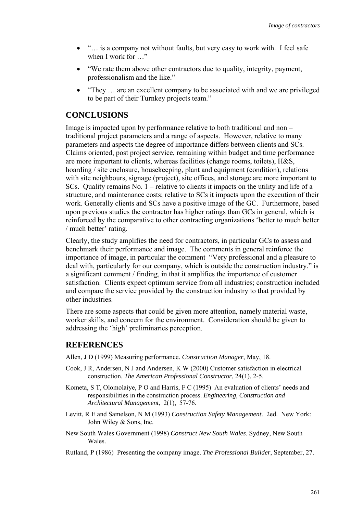- "... is a company not without faults, but very easy to work with. I feel safe when I work for …"
- "We rate them above other contractors due to quality, integrity, payment, professionalism and the like."
- "They ... are an excellent company to be associated with and we are privileged to be part of their Turnkey projects team."

## **CONCLUSIONS**

Image is impacted upon by performance relative to both traditional and non – traditional project parameters and a range of aspects. However, relative to many parameters and aspects the degree of importance differs between clients and SCs. Claims oriented, post project service, remaining within budget and time performance are more important to clients, whereas facilities (change rooms, toilets), H&S, hoarding / site enclosure, housekeeping, plant and equipment (condition), relations with site neighbours, signage (project), site offices, and storage are more important to SCs. Quality remains No. 1 – relative to clients it impacts on the utility and life of a structure, and maintenance costs; relative to SCs it impacts upon the execution of their work. Generally clients and SCs have a positive image of the GC. Furthermore, based upon previous studies the contractor has higher ratings than GCs in general, which is reinforced by the comparative to other contracting organizations 'better to much better / much better' rating.

Clearly, the study amplifies the need for contractors, in particular GCs to assess and benchmark their performance and image. The comments in general reinforce the importance of image, in particular the comment "Very professional and a pleasure to deal with, particularly for our company, which is outside the construction industry." is a significant comment / finding, in that it amplifies the importance of customer satisfaction. Clients expect optimum service from all industries; construction included and compare the service provided by the construction industry to that provided by other industries.

There are some aspects that could be given more attention, namely material waste, worker skills, and concern for the environment. Consideration should be given to addressing the 'high' preliminaries perception.

## **REFERENCES**

Allen, J D (1999) Measuring performance. *Construction Manager*, May, 18.

- Cook, J R, Andersen, N J and Andersen, K W (2000) Customer satisfaction in electrical construction. *The American Professional Constructor*, 24(1), 2-5.
- Kometa, S T, Olomolaiye, P O and Harris, F C (1995) An evaluation of clients' needs and responsibilities in the construction process. *Engineering, Construction and Architectural Management*, 2(1), 57-76.
- Levitt, R E and Samelson, N M (1993) *Construction Safety Management*. 2ed. New York: John Wiley & Sons, Inc.
- New South Wales Government (1998) *Construct New South Wales*. Sydney, New South Wales.
- Rutland, P (1986) Presenting the company image. *The Professional Builder*, September, 27.